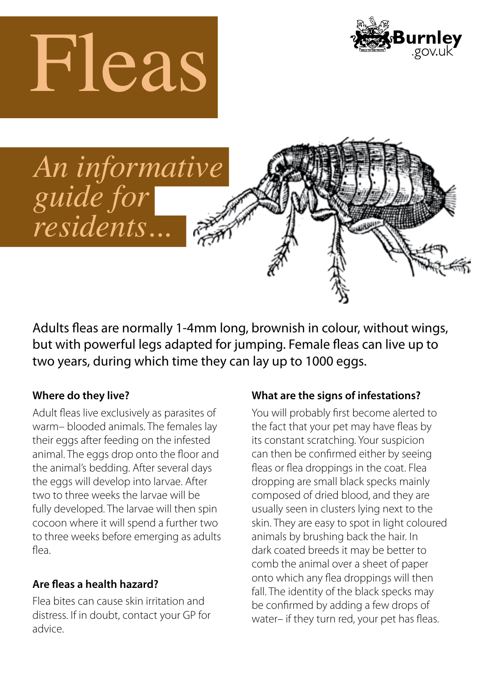





Adults fleas are normally 1-4mm long, brownish in colour, without wings, but with powerful legs adapted for jumping. Female fleas can live up to two years, during which time they can lay up to 1000 eggs.

## **Where do they live?**

Adult fleas live exclusively as parasites of warm– blooded animals. The females lay their eggs after feeding on the infested animal. The eggs drop onto the floor and the animal's bedding. After several days the eggs will develop into larvae. After two to three weeks the larvae will be fully developed. The larvae will then spin cocoon where it will spend a further two to three weeks before emerging as adults flea.

# **Are fleas a health hazard?**

Flea bites can cause skin irritation and distress. If in doubt, contact your GP for advice.

## **What are the signs of infestations?**

You will probably first become alerted to the fact that your pet may have fleas by its constant scratching. Your suspicion can then be confirmed either by seeing fleas or flea droppings in the coat. Flea dropping are small black specks mainly composed of dried blood, and they are usually seen in clusters lying next to the skin. They are easy to spot in light coloured animals by brushing back the hair. In dark coated breeds it may be better to comb the animal over a sheet of paper onto which any flea droppings will then fall. The identity of the black specks may be confirmed by adding a few drops of water– if they turn red, your pet has fleas.